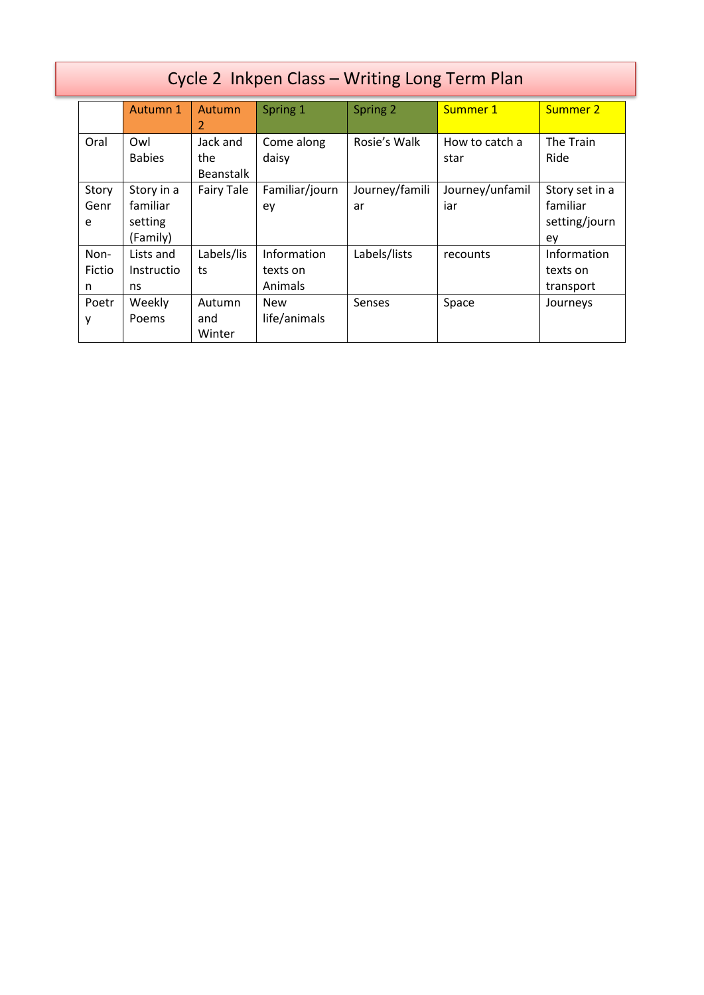| Cycle 2 Inkpen Class - Writing Long Term Plan |                                               |                                     |                                    |                      |                        |                                                   |  |
|-----------------------------------------------|-----------------------------------------------|-------------------------------------|------------------------------------|----------------------|------------------------|---------------------------------------------------|--|
|                                               | Autumn 1                                      | Autumn<br>2                         | Spring 1                           | Spring 2             | Summer 1               | Summer 2                                          |  |
| Oral                                          | Owl<br><b>Babies</b>                          | Jack and<br>the<br><b>Beanstalk</b> | Come along<br>daisy                | Rosie's Walk         | How to catch a<br>star | The Train<br>Ride                                 |  |
| Story<br>Genr<br>e                            | Story in a<br>familiar<br>setting<br>(Family) | <b>Fairy Tale</b>                   | Familiar/journ<br>ey               | Journey/famili<br>ar | Journey/unfamil<br>iar | Story set in a<br>familiar<br>setting/journ<br>ey |  |
| Non-<br>Fictio<br>n                           | Lists and<br>Instructio<br>ns                 | Labels/lis<br>ts                    | Information<br>texts on<br>Animals | Labels/lists         | recounts               | Information<br>texts on<br>transport              |  |
| Poetr<br>у                                    | Weekly<br>Poems                               | Autumn<br>and<br>Winter             | <b>New</b><br>life/animals         | Senses               | Space                  | Journeys                                          |  |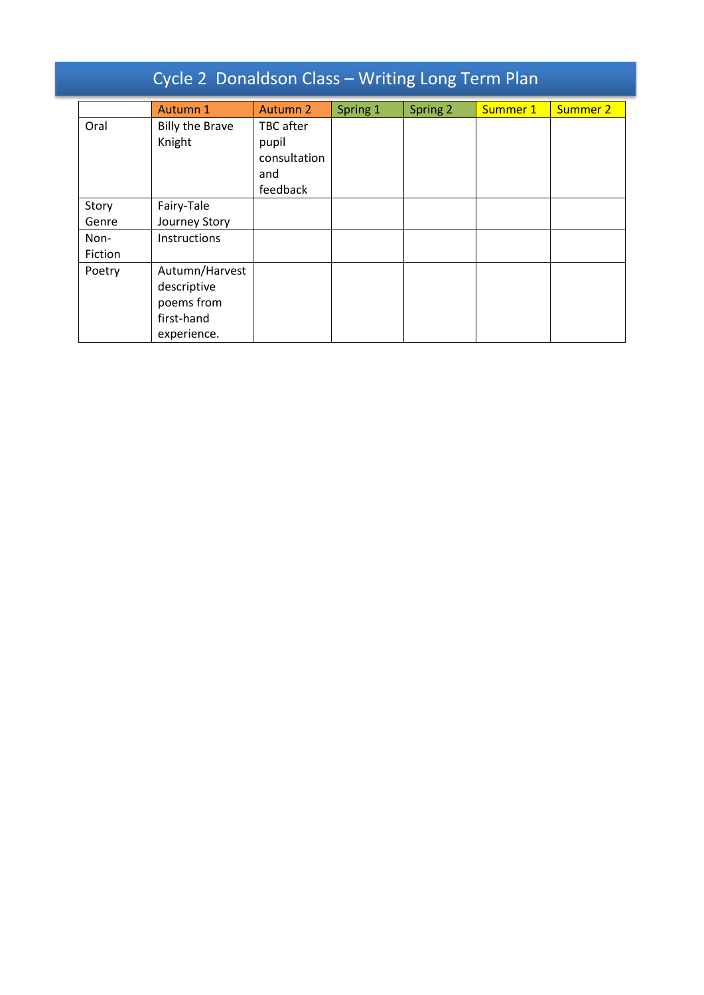| Cycle 2 Donaldson Class - Writing Long Term Plan |                                                                          |                                                       |          |          |          |          |  |
|--------------------------------------------------|--------------------------------------------------------------------------|-------------------------------------------------------|----------|----------|----------|----------|--|
|                                                  | Autumn 1                                                                 | Autumn 2                                              | Spring 1 | Spring 2 | Summer 1 | Summer 2 |  |
| Oral                                             | <b>Billy the Brave</b><br>Knight                                         | TBC after<br>pupil<br>consultation<br>and<br>feedback |          |          |          |          |  |
| Story                                            | Fairy-Tale                                                               |                                                       |          |          |          |          |  |
| Genre                                            | Journey Story                                                            |                                                       |          |          |          |          |  |
| Non-<br>Fiction                                  | Instructions                                                             |                                                       |          |          |          |          |  |
| Poetry                                           | Autumn/Harvest<br>descriptive<br>poems from<br>first-hand<br>experience. |                                                       |          |          |          |          |  |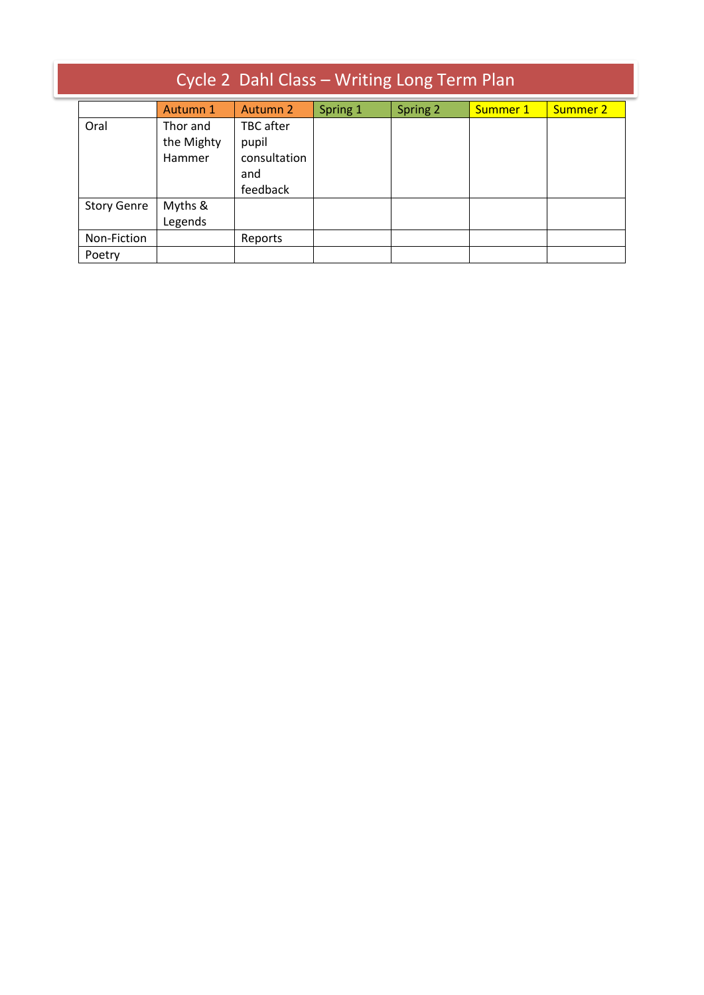| Cycle 2 Dahl Class - Writing Long Term Plan |                                  |                                                       |          |          |          |          |  |
|---------------------------------------------|----------------------------------|-------------------------------------------------------|----------|----------|----------|----------|--|
|                                             | Autumn 1                         | Autumn 2                                              | Spring 1 | Spring 2 | Summer 1 | Summer 2 |  |
| Oral                                        | Thor and<br>the Mighty<br>Hammer | TBC after<br>pupil<br>consultation<br>and<br>feedback |          |          |          |          |  |
| <b>Story Genre</b>                          | Myths &<br>Legends               |                                                       |          |          |          |          |  |
| Non-Fiction                                 |                                  | Reports                                               |          |          |          |          |  |
| Poetry                                      |                                  |                                                       |          |          |          |          |  |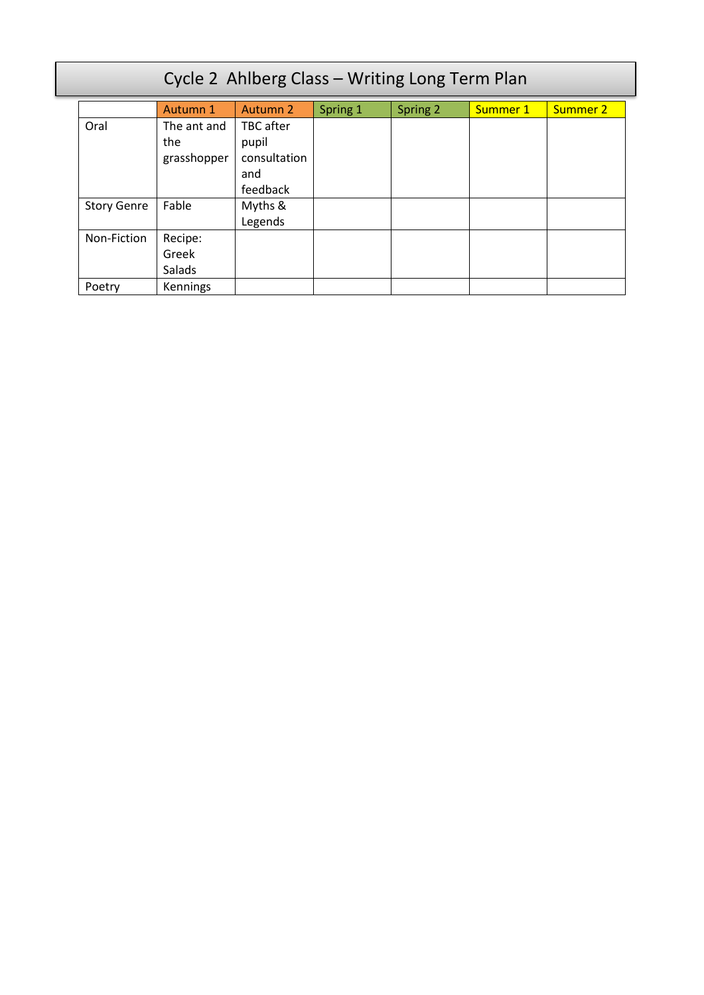| Cycle 2 Ahlberg Class - Writing Long Term Plan |             |                 |          |          |          |                 |  |
|------------------------------------------------|-------------|-----------------|----------|----------|----------|-----------------|--|
|                                                | Autumn 1    | <b>Autumn 2</b> | Spring 1 | Spring 2 | Summer 1 | <b>Summer 2</b> |  |
| Oral                                           | The ant and | TBC after       |          |          |          |                 |  |
|                                                | the         | pupil           |          |          |          |                 |  |
|                                                | grasshopper | consultation    |          |          |          |                 |  |
|                                                |             | and             |          |          |          |                 |  |
|                                                |             | feedback        |          |          |          |                 |  |
| <b>Story Genre</b>                             | Fable       | Myths &         |          |          |          |                 |  |
|                                                |             | Legends         |          |          |          |                 |  |
| Non-Fiction                                    | Recipe:     |                 |          |          |          |                 |  |
|                                                | Greek       |                 |          |          |          |                 |  |
|                                                | Salads      |                 |          |          |          |                 |  |
| Poetry                                         | Kennings    |                 |          |          |          |                 |  |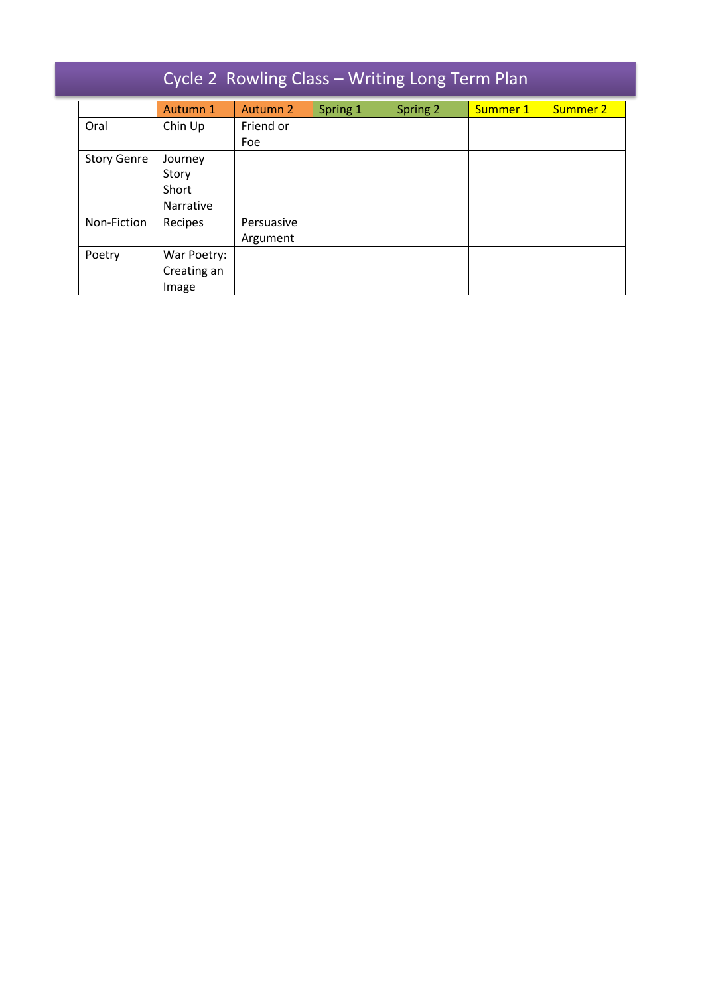| Cycle 2 Rowling Class - Writing Long Term Plan |             |            |          |          |          |                 |  |
|------------------------------------------------|-------------|------------|----------|----------|----------|-----------------|--|
|                                                | Autumn 1    | Autumn 2   | Spring 1 | Spring 2 | Summer 1 | <b>Summer 2</b> |  |
| Oral                                           | Chin Up     | Friend or  |          |          |          |                 |  |
|                                                |             | Foe        |          |          |          |                 |  |
| <b>Story Genre</b>                             | Journey     |            |          |          |          |                 |  |
|                                                | Story       |            |          |          |          |                 |  |
|                                                | Short       |            |          |          |          |                 |  |
|                                                | Narrative   |            |          |          |          |                 |  |
| Non-Fiction                                    | Recipes     | Persuasive |          |          |          |                 |  |
|                                                |             | Argument   |          |          |          |                 |  |
| Poetry                                         | War Poetry: |            |          |          |          |                 |  |
|                                                | Creating an |            |          |          |          |                 |  |
|                                                | Image       |            |          |          |          |                 |  |